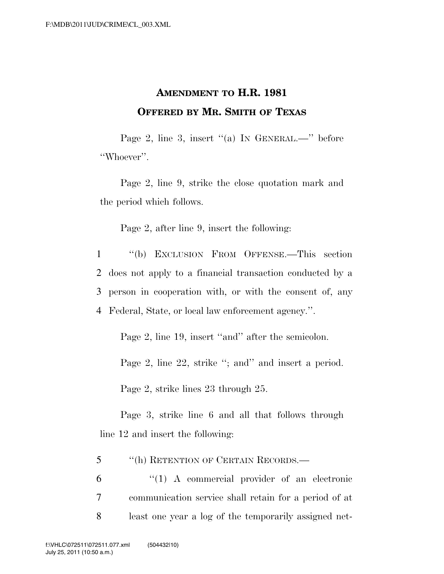## **AMENDMENT TO H.R. 1981 OFFERED BY MR. SMITH OF TEXAS**

Page 2, line 3, insert "(a) IN GENERAL.—" before ''Whoever''.

Page 2, line 9, strike the close quotation mark and the period which follows.

Page 2, after line 9, insert the following:

 ''(b) EXCLUSION FROM OFFENSE.—This section does not apply to a financial transaction conducted by a person in cooperation with, or with the consent of, any Federal, State, or local law enforcement agency.''.

Page 2, line 19, insert "and" after the semicolon.

Page 2, line 22, strike "; and" and insert a period.

Page 2, strike lines 23 through 25.

Page 3, strike line 6 and all that follows through line 12 and insert the following:

5 ''(h) RETENTION OF CERTAIN RECORDS.—

6 ''(1) A commercial provider of an electronic 7 communication service shall retain for a period of at 8 least one year a log of the temporarily assigned net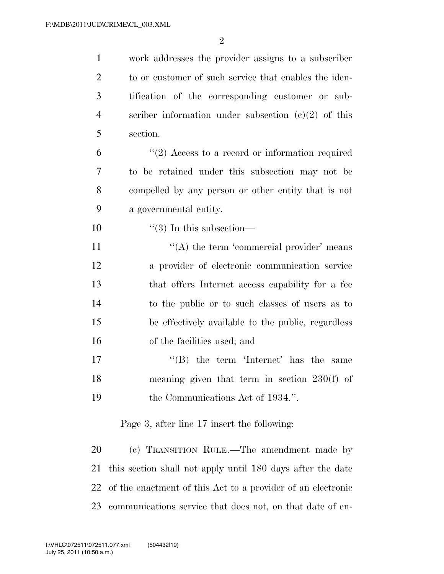| $\mathbf{1}$   | work addresses the provider assigns to a subscriber   |
|----------------|-------------------------------------------------------|
| $\overline{2}$ | to or customer of such service that enables the iden- |
| 3              | tification of the corresponding customer or sub-      |
| $\overline{4}$ | scriber information under subsection $(e)(2)$ of this |
| 5              | section.                                              |
| 6              | $"(2)$ Access to a record or information required     |
| 7              | to be retained under this subsection may not be       |
| 8              | compelled by any person or other entity that is not   |
| 9              | a governmental entity.                                |
| 10             | $\lq(3)$ In this subsection—                          |
| 11             | "(A) the term 'commercial provider' means             |
| 12             | a provider of electronic communication service        |
| 13             | that offers Internet access capability for a fee      |
| 14             | to the public or to such classes of users as to       |
| 15             | be effectively available to the public, regardless    |
| 16             | of the facilities used; and                           |
| 17             | $\lq\lq$ the term 'Internet' has the same             |
| 18             | meaning given that term in section $230(f)$ of        |
| 19             | the Communications Act of 1934.".                     |
|                | Page 3, after line 17 insert the following:           |
| 20             | (c) TRANSITION RULE.—The amendment made by            |

 this section shall not apply until 180 days after the date of the enactment of this Act to a provider of an electronic communications service that does not, on that date of en